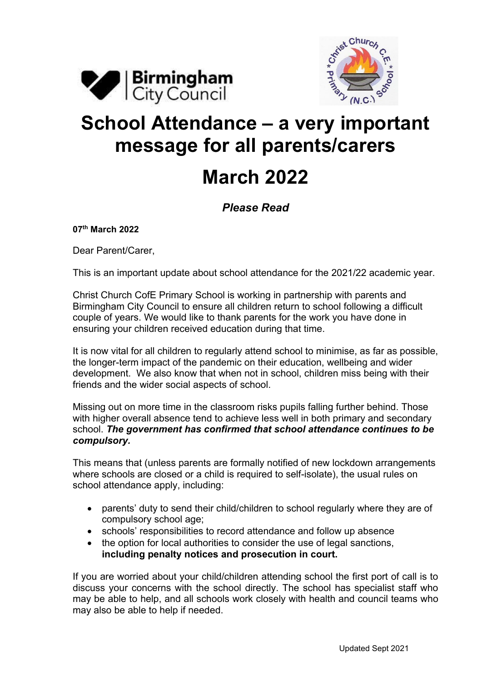



## **School Attendance – a very important message for all parents/carers March 2022**

## *Please Read*

**07th March 2022**

Dear Parent/Carer,

This is an important update about school attendance for the 2021/22 academic year.

Christ Church CofE Primary School is working in partnership with parents and Birmingham City Council to ensure all children return to school following a difficult couple of years. We would like to thank parents for the work you have done in ensuring your children received education during that time.

It is now vital for all children to regularly attend school to minimise, as far as possible, the longer-term impact of the pandemic on their education, wellbeing and wider development. We also know that when not in school, children miss being with their friends and the wider social aspects of school.

Missing out on more time in the classroom risks pupils falling further behind. Those with higher overall absence tend to achieve less well in both primary and secondary school. *The government has confirmed that school attendance continues to be compulsory.*

This means that (unless parents are formally notified of new lockdown arrangements where schools are closed or a child is required to self-isolate), the usual rules on school attendance apply, including:

- parents' duty to send their child/children to school regularly where they are of compulsory school age;
- schools' responsibilities to record attendance and follow up absence
- the option for local authorities to consider the use of legal sanctions, **including penalty notices and prosecution in court.**

If you are worried about your child/children attending school the first port of call is to discuss your concerns with the school directly. The school has specialist staff who may be able to help, and all schools work closely with health and council teams who may also be able to help if needed.